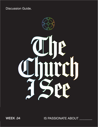**Discussion Guide.** 



WEEK .02 WEEK .04

IS PASSIONATE ABOUT \_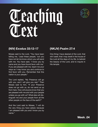

# Teaching

### **(NIV) Exodus 33:12-17 (NKJV) Psalm 27:4**

Moses said to the Lord, "You have been telling me, 'Lead these people,' but you have not let me know whom you will send with me. You have said, 'I know you by name and you have found favor with me.' If you are pleased with me, teach me your ways so I may know you and continue to find favor with you. Remember that this nation is your people."

The Lord replied, "My Presence will go with you, and I will give you rest." Then Moses said to him, "If your Presence does not go with us, do not send us up from here. How will anyone know that you are pleased with me and with your people unless you go with us? What else will distinguish me and your people from all the other people on the face of the earth?"

And the Lord said to Moses, "I will do the very thing you have asked, because I am pleased with you and I know you by name."

One thing I have desired of the Lord, that will I seek; that I may dwell in the house of the Lord all the days of my life, to behold the beauty of the Lord, and to inquire in His temple.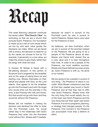## Recap

This week Banning Liebscher continues the series called "**The Church I See**", by reminding us that we are a church that pursues God's Presence. Our foundation is made up by a set of core values which we live by, and each value guides the decisions we make. When we are faced with a choice, the decision is made for us by the values we choose to live by. For example, if generosity is a core value, we make the choice to give freely rather than be stingy with what we have.

In Exodus 33 Moses is faced with a life-altering decision. In this portion of Scripture God is angered by the Israelites and on the verge of wiping them out and starting over. Moses intercedes on their behalf and pleads with God, so the Lord relents. God agrees to let the Israelites go into the Promised Land with His Angel who would drive out the enemies in the land, a land flowing with milk and honey. But God would not go with them and they would be without His Presence.

Moses did not hesitate in making his decision and declined the offer to enter into the Promised Land. He would rather stay in the wilderness with God's Presence than enter into the Promised Land without Him. Moses didn't hesitate, because he wasn't in pursuit of the Promised Land, he was in pursuit of God's Presence. Moses had a core value for the Presence of God.

As believers, we face frustration when we are in pursuit of the promise instead of His Presence. We are going to be a people of His Presence above all else. Moses and David both shared this as a core value and it is seen throughout their lives. In order to be a people of His Presence, we must redefine success. Moses and David defined success simply as: God's Presence is with us. He alone is our reward.

We are going to be a people in pursuit of one thing – the Presence of Jesus in our midst. What Moses understood was that all that they needed was found in God's Presence and all that they had to offer was God's Presence. Moses knew that the only thing that would satisfy the cry of His heart was God's Presence and the only thing that set them apart was God's Presence. It is not our programs, planning, or strategy that changes people, it's His Presence. One moment in His Presence can accomplish more than a lifetime of effort.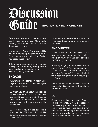### Discussion Guide **EMOTIONAL HEALTH CHECK IN**

Take a few minutes to do an emotional health check in with your Community, creating space for each person to answer the question below:

In what areas of your life do you feel like you are bumping up against your limits? Do you sense any invitation from God as you notice these limits?

If the need arises, spend a few minutes praying for one another, asking God to meet needs and help each person carry what feels heavy right now.

### **ENGAGE**

1. What are some of the non-negotiables in your life and how do they affect your decision- making?

2. When you think about the decision Moses was faced with, do you think you would have easily made the same one? Are there areas in your life where you are seeking the promise over His Presence?

3. How have you defined success in your own life? What would it look like to define it simply as: God's Presence is with you?

4. What are some specific ways your life has been transformed by an encounter with Him?

### **ENCOUNTER**

Spend a few minutes in stillness and quiet (you may want to play soaking music) in your group and ask Holy Spirit the following question:

Am I truly hungry for your Presence alone and nothing else? Are there areas in my life where I have pursued the promise over your Presence? Ask the Holy Spirit for a fresh hunger and an outpouring of His Spirit.

If time permits, allow those who want to, share what God spoke to them during the Encounter time.

### **EQUIP**

Spend some time this week feasting on His Presence. Set aside space in your day to just encounter Him. Put on some worship music and spend a few minutes simply resting in His Presence. Journal any revelations or encounters you experience during this time.